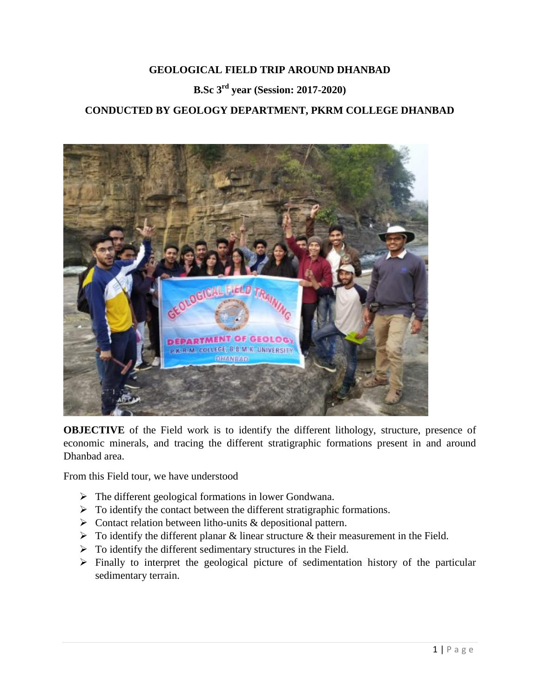#### **GEOLOGICAL FIELD TRIP AROUND DHANBAD**

# **B.Sc 3rd year (Session: 2017-2020)**

### **CONDUCTED BY GEOLOGY DEPARTMENT, PKRM COLLEGE DHANBAD**



**OBJECTIVE** of the Field work is to identify the different lithology, structure, presence of economic minerals, and tracing the different stratigraphic formations present in and around Dhanbad area.

From this Field tour, we have understood

- $\triangleright$  The different geological formations in lower Gondwana.
- $\triangleright$  To identify the contact between the different stratigraphic formations.
- $\triangleright$  Contact relation between litho-units & depositional pattern.
- $\triangleright$  To identify the different planar & linear structure & their measurement in the Field.
- $\triangleright$  To identify the different sedimentary structures in the Field.
- $\triangleright$  Finally to interpret the geological picture of sedimentation history of the particular sedimentary terrain.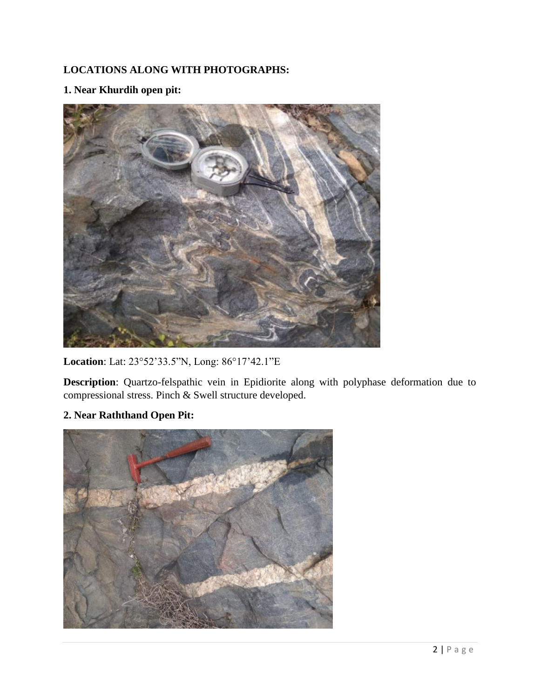## **LOCATIONS ALONG WITH PHOTOGRAPHS:**

### **1. Near Khurdih open pit:**



**Location**: Lat: 23°52'33.5"N, Long: 86°17'42.1"E

**Description**: Quartzo-felspathic vein in Epidiorite along with polyphase deformation due to compressional stress. Pinch & Swell structure developed.

### **2. Near Raththand Open Pit:**

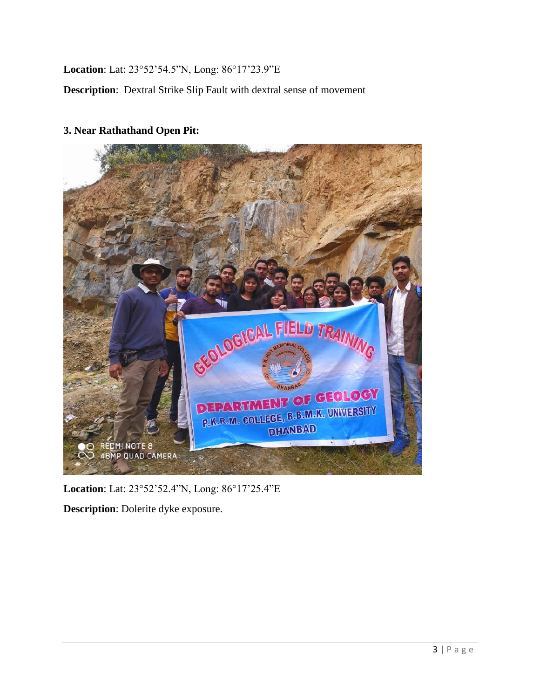**Location**: Lat: 23°52'54.5"N, Long: 86°17'23.9"E

**Description**: Dextral Strike Slip Fault with dextral sense of movement



#### **3. Near Rathathand Open Pit:**

**Location**: Lat: 23°52'52.4"N, Long: 86°17'25.4"E

**Description**: Dolerite dyke exposure.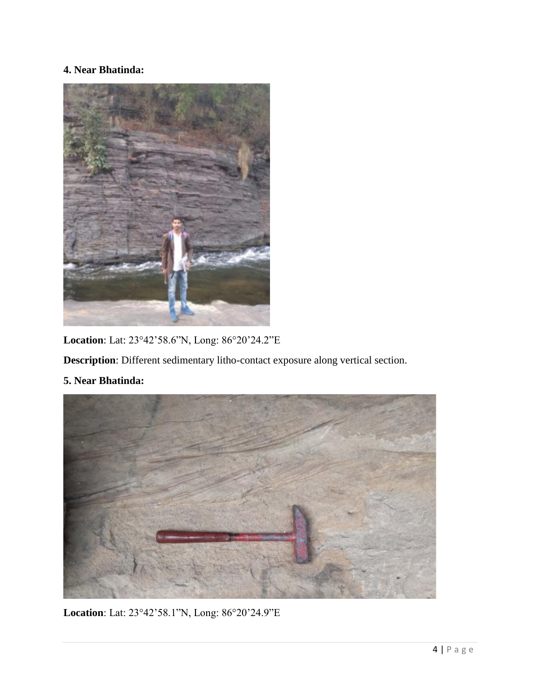## **4. Near Bhatinda:**



**Location**: Lat: 23°42'58.6"N, Long: 86°20'24.2"E

**Description**: Different sedimentary litho-contact exposure along vertical section.

**5. Near Bhatinda:**



**Location**: Lat: 23°42'58.1"N, Long: 86°20'24.9"E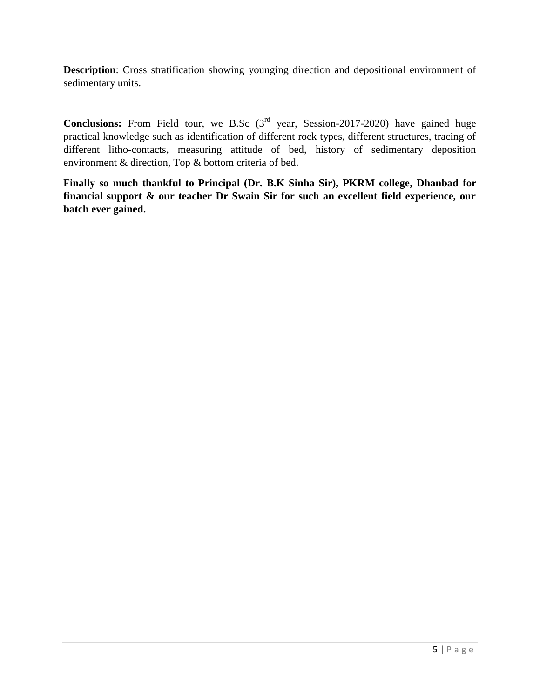**Description**: Cross stratification showing younging direction and depositional environment of sedimentary units.

Conclusions: From Field tour, we B.Sc (3<sup>rd</sup> year, Session-2017-2020) have gained huge practical knowledge such as identification of different rock types, different structures, tracing of different litho-contacts, measuring attitude of bed, history of sedimentary deposition environment & direction, Top & bottom criteria of bed.

**Finally so much thankful to Principal (Dr. B.K Sinha Sir), PKRM college, Dhanbad for financial support & our teacher Dr Swain Sir for such an excellent field experience, our batch ever gained.**